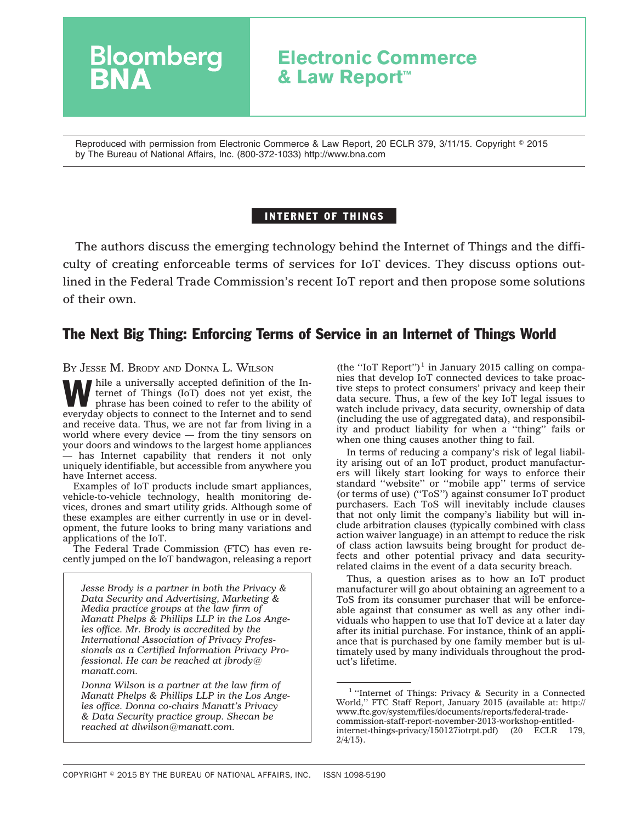# **Bloomberg Electronic Commerce & Law Report™**

Reproduced with permission from Electronic Commerce & Law Report, 20 ECLR 379, 3/11/15. Copyright © 2015 by The Bureau of National Affairs, Inc. (800-372-1033) http://www.bna.com

# INTERNET OF THINGS

The authors discuss the emerging technology behind the Internet of Things and the difficulty of creating enforceable terms of services for IoT devices. They discuss options outlined in the Federal Trade Commission's recent IoT report and then propose some solutions of their own.

# The Next Big Thing: Enforcing Terms of Service in an Internet of Things World

#### BY JESSE M. BRODY AND DONNA L. WILSON

While a universally accepted definition of the Internet of Things (IoT) does not yet exist, the phrase has been coined to refer to the ability of ternet of Things (IoT) does not yet exist, the phrase has been coined to refer to the ability of everyday objects to connect to the Internet and to send and receive data. Thus, we are not far from living in a world where every device — from the tiny sensors on your doors and windows to the largest home appliances — has Internet capability that renders it not only uniquely identifiable, but accessible from anywhere you have Internet access.

Examples of IoT products include smart appliances, vehicle-to-vehicle technology, health monitoring devices, drones and smart utility grids. Although some of these examples are either currently in use or in development, the future looks to bring many variations and applications of the IoT.

The Federal Trade Commission (FTC) has even recently jumped on the IoT bandwagon, releasing a report

*Jesse Brody is a partner in both the Privacy & Data Security and Advertising, Marketing & Media practice groups at the law firm of Manatt Phelps & Phillips LLP in the Los Angeles office. Mr. Brody is accredited by the International Association of Privacy Professionals as a Certified Information Privacy Professional. He can be reached at [jbrody@](mailto:jbrody@manatt.com) [manatt.com.](mailto:jbrody@manatt.com)*

*Donna Wilson is a partner at the law firm of Manatt Phelps & Phillips LLP in the Los Angeles office. Donna co-chairs Manatt's Privacy & Data Security practice group. Shecan be reached at [dlwilson@manatt.com.](mailto:dlwilson@manatt.com)*

(the "IoT Report")<sup>1</sup> in January 2015 calling on companies that develop IoT connected devices to take proactive steps to protect consumers' privacy and keep their data secure. Thus, a few of the key IoT legal issues to watch include privacy, data security, ownership of data (including the use of aggregated data), and responsibility and product liability for when a ''thing'' fails or when one thing causes another thing to fail.

In terms of reducing a company's risk of legal liability arising out of an IoT product, product manufacturers will likely start looking for ways to enforce their standard ''website'' or ''mobile app'' terms of service (or terms of use) (''ToS'') against consumer IoT product purchasers. Each ToS will inevitably include clauses that not only limit the company's liability but will include arbitration clauses (typically combined with class action waiver language) in an attempt to reduce the risk of class action lawsuits being brought for product defects and other potential privacy and data securityrelated claims in the event of a data security breach.

Thus, a question arises as to how an IoT product manufacturer will go about obtaining an agreement to a ToS from its consumer purchaser that will be enforceable against that consumer as well as any other individuals who happen to use that IoT device at a later day after its initial purchase. For instance, think of an appliance that is purchased by one family member but is ultimately used by many individuals throughout the product's lifetime.

<sup>&</sup>lt;sup>1</sup> "Internet of Things: Privacy & Security in a Connected World,'' FTC Staff Report, January 2015 (available at: [http://](http://www.ftc.gov/system/files/documents/reports/federal-trade-commission-staff-report-november-2013-workshop-entitled-internet-things-privacy/150127iotrpt.pdf) [www.ftc.gov/system/files/documents/reports/federal-trade](http://www.ftc.gov/system/files/documents/reports/federal-trade-commission-staff-report-november-2013-workshop-entitled-internet-things-privacy/150127iotrpt.pdf)[commission-staff-report-november-2013-workshop-entitled](http://www.ftc.gov/system/files/documents/reports/federal-trade-commission-staff-report-november-2013-workshop-entitled-internet-things-privacy/150127iotrpt.pdf)[internet-things-privacy/150127iotrpt.pdf\)](http://www.ftc.gov/system/files/documents/reports/federal-trade-commission-staff-report-november-2013-workshop-entitled-internet-things-privacy/150127iotrpt.pdf) (20 ECLR 179,  $2/4/15$ ).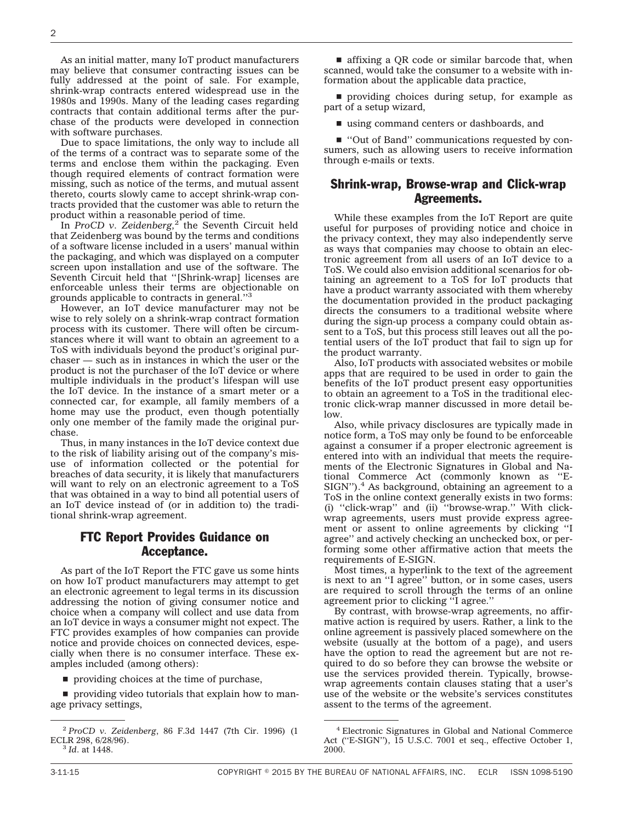As an initial matter, many IoT product manufacturers may believe that consumer contracting issues can be fully addressed at the point of sale. For example, shrink-wrap contracts entered widespread use in the 1980s and 1990s. Many of the leading cases regarding contracts that contain additional terms after the purchase of the products were developed in connection with software purchases.

Due to space limitations, the only way to include all of the terms of a contract was to separate some of the terms and enclose them within the packaging. Even though required elements of contract formation were missing, such as notice of the terms, and mutual assent thereto, courts slowly came to accept shrink-wrap contracts provided that the customer was able to return the product within a reasonable period of time.

In *ProCD* v. Zeidenberg,<sup>2</sup> the Seventh Circuit held that Zeidenberg was bound by the terms and conditions of a software license included in a users' manual within the packaging, and which was displayed on a computer screen upon installation and use of the software. The Seventh Circuit held that ''[Shrink-wrap] licenses are enforceable unless their terms are objectionable on grounds applicable to contracts in general.''3

However, an IoT device manufacturer may not be wise to rely solely on a shrink-wrap contract formation process with its customer. There will often be circumstances where it will want to obtain an agreement to a ToS with individuals beyond the product's original purchaser — such as in instances in which the user or the product is not the purchaser of the IoT device or where multiple individuals in the product's lifespan will use the IoT device. In the instance of a smart meter or a connected car, for example, all family members of a home may use the product, even though potentially only one member of the family made the original purchase.

Thus, in many instances in the IoT device context due to the risk of liability arising out of the company's misuse of information collected or the potential for breaches of data security, it is likely that manufacturers will want to rely on an electronic agreement to a ToS that was obtained in a way to bind all potential users of an IoT device instead of (or in addition to) the traditional shrink-wrap agreement.

## FTC Report Provides Guidance on Acceptance.

As part of the IoT Report the FTC gave us some hints on how IoT product manufacturers may attempt to get an electronic agreement to legal terms in its discussion addressing the notion of giving consumer notice and choice when a company will collect and use data from an IoT device in ways a consumer might not expect. The FTC provides examples of how companies can provide notice and provide choices on connected devices, especially when there is no consumer interface. These examples included (among others):

 $\blacksquare$  providing choices at the time of purchase,

 $\blacksquare$  providing video tutorials that explain how to manage privacy settings,

 $\blacksquare$  affixing a QR code or similar barcode that, when scanned, would take the consumer to a website with information about the applicable data practice,

 $\blacksquare$  providing choices during setup, for example as part of a setup wizard,

 $\blacksquare$  using command centers or dashboards, and

■ "Out of Band" communications requested by consumers, such as allowing users to receive information through e-mails or texts.

### Shrink-wrap, Browse-wrap and Click-wrap Agreements.

While these examples from the IoT Report are quite useful for purposes of providing notice and choice in the privacy context, they may also independently serve as ways that companies may choose to obtain an electronic agreement from all users of an IoT device to a ToS. We could also envision additional scenarios for obtaining an agreement to a ToS for IoT products that have a product warranty associated with them whereby the documentation provided in the product packaging directs the consumers to a traditional website where during the sign-up process a company could obtain assent to a ToS, but this process still leaves out all the potential users of the IoT product that fail to sign up for the product warranty.

Also, IoT products with associated websites or mobile apps that are required to be used in order to gain the benefits of the IoT product present easy opportunities to obtain an agreement to a ToS in the traditional electronic click-wrap manner discussed in more detail below.

Also, while privacy disclosures are typically made in notice form, a ToS may only be found to be enforceable against a consumer if a proper electronic agreement is entered into with an individual that meets the requirements of the Electronic Signatures in Global and National Commerce Act (commonly known as ''E-SIGN").<sup>4</sup> As background, obtaining an agreement to a ToS in the online context generally exists in two forms: (i) ''click-wrap'' and (ii) ''browse-wrap.'' With clickwrap agreements, users must provide express agreement or assent to online agreements by clicking ''I agree'' and actively checking an unchecked box, or performing some other affirmative action that meets the requirements of E-SIGN.

Most times, a hyperlink to the text of the agreement is next to an ''I agree'' button, or in some cases, users are required to scroll through the terms of an online agreement prior to clicking ''I agree.''

By contrast, with browse-wrap agreements, no affirmative action is required by users. Rather, a link to the online agreement is passively placed somewhere on the website (usually at the bottom of a page), and users have the option to read the agreement but are not required to do so before they can browse the website or use the services provided therein. Typically, browsewrap agreements contain clauses stating that a user's use of the website or the website's services constitutes assent to the terms of the agreement.

<sup>2</sup> *ProCD v. Zeidenberg*, 86 F.3d 1447 (7th Cir. 1996) (1 ECLR 298, 6/28/96). <sup>3</sup> *Id*. at 1448.

<sup>4</sup> Electronic Signatures in Global and National Commerce Act (''E-SIGN''), 15 U.S.C. 7001 et seq., effective October 1, 2000.